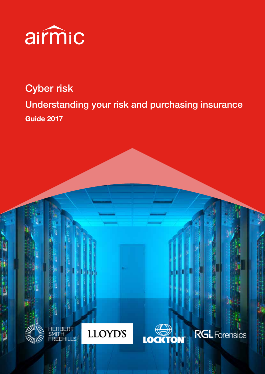

# Cyber risk Understanding your risk and purchasing insurance Guide 2017







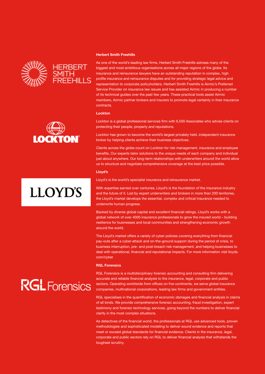



# **LLOYD'S**

# **RGL** Forensics

#### Herbert Smith Freehills

As one of the world's leading law firms, Herbert Smith Freehills advises many of the biggest and most ambitious organisations across all major regions of the globe. Its insurance and reinsurance lawyers have an outstanding reputation in complex, high profile insurance and reinsurance disputes and for providing strategic legal advice and representation to corporate policyholders. Herbert Smith Freehills is Airmic's Preferred Service Provider on insurance law issues and has assisted Airmic in producing a number of its technical guides over the past few years. These practical tools assist Airmic members, Airmic partner brokers and insurers to promote legal certainty in their insurance contracts.

#### **Lockton**

Lockton is a global professional services firm with 6,500 Associates who advise clients on protecting their people, property and reputations.

Lockton has grown to become the world's largest privately held, independent insurance broker by helping clients achieve their business objectives.

Clients across the globe count on Lockton for risk management, insurance and employee benefits. Our experts tailor solutions to the unique needs of each company and individual just about anywhere. Our long-term relationships with underwriters around the world allow us to structure and negotiate comprehensive coverage at the best price possible.

#### Lloyd's

Lloyd's is the world's specialist insurance and reinsurance market.

With expertise earned over centuries, Lloyd's is the foundation of the insurance industry and the future of it. Led by expert underwriters and brokers in more than 200 territories, the Lloyd's market develops the essential, complex and critical insurance needed to underwrite human progress.

Backed by diverse global capital and excellent financial ratings, Lloyd's works with a global network of over 4000 insurance professionals to grow the insured world – building resilience for businesses and local communities and strengthening economic growth around the world.

The Lloyd's market offers a variety of cyber policies covering everything from financial pay-outs after a cyber-attack and on-the-ground support during the period of crisis, to business interruption, pre- and post-breach risk management, and helping businesses to deal with operational, financial and reputational impacts. For more information visit lloyds. com/cyber

#### RGL Forensics

RGL Forensics is a multidisciplinary forensic accounting and consulting firm delivering accurate and reliable financial analysis to the insurance, legal, corporate and public sectors. Operating worldwide from offices on five continents, we serve global insurance companies, multinational corporations, leading law firms and government entities.

RGL specialises in the quantification of economic damages and financial analysis in claims of all kinds. We provide comprehensive forensic accounting, fraud investigation, expert testimony and forensic technology services, going beyond the numbers to deliver financial clarity in the most complex situations.

As detectives of the financial world, the professionals at RGL use advanced tools, proven methodologies and sophisticated modeling to deliver sound evidence and reports that meet or exceed global standards for financial evidence. Clients in the insurance, legal, corporate and public sectors rely on RGL to deliver financial analysis that withstands the toughest scrutiny.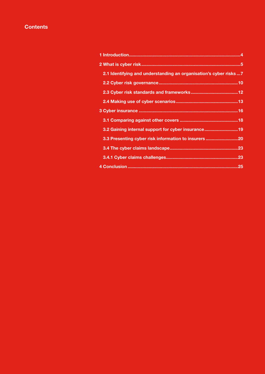# **Contents**

| 2.1 Identifying and understanding an organisation's cyber risks  7 |  |
|--------------------------------------------------------------------|--|
|                                                                    |  |
|                                                                    |  |
|                                                                    |  |
|                                                                    |  |
|                                                                    |  |
| 3.2 Gaining internal support for cyber insurance19                 |  |
| 3.3 Presenting cyber risk information to insurers                  |  |
|                                                                    |  |
|                                                                    |  |
|                                                                    |  |
|                                                                    |  |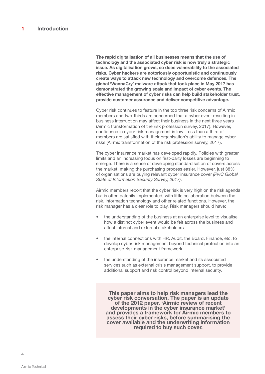The rapid digitalisation of all businesses means that the use of technology and the associated cyber risk is now truly a strategic issue. As digitalisation grows, so does vulnerability to the associated risks. Cyber hackers are notoriously opportunistic and continuously create ways to attack new technology and overcome defences. The global 'WannaCry' malware attack that took place in May 2017 has demonstrated the growing scale and impact of cyber events. The effective management of cyber risks can help build stakeholder trust, provide customer assurance and deliver competitive advantage.

Cyber risk continues to feature in the top three risk concerns of Airmic members and two-thirds are concerned that a cyber event resulting in business interruption may affect their business in the next three years (Airmic transformation of the risk profession survey, 2017). However, confidence in cyber risk management is low. Less than a third of members are satisfied with their organisation's ability to manage cyber risks (Airmic transformation of the risk profession survey, 2017).

The cyber insurance market has developed rapidly. Policies with greater limits and an increasing focus on first-party losses are beginning to emerge. There is a sense of developing standardisation of covers across the market, making the purchasing process easier. However, just 38% of organisations are buying relevant cyber insurance cover *(PwC Global State of Information Security Survey, 2017)*.

Airmic members report that the cyber risk is very high on the risk agenda but is often patchily implemented, with little collaboration between the risk, information technology and other related functions. However, the risk manager has a clear role to play. Risk managers should have:

- the understanding of the business at an enterprise level to visualise how a distinct cyber event would be felt across the business and affect internal and external stakeholders
- the internal connections with HR, Audit, the Board, Finance, etc. to develop cyber risk management beyond technical protection into an enterprise-risk management framework
- the understanding of the insurance market and its associated services such as external crisis management support, to provide additional support and risk control beyond internal security.

This paper aims to help risk managers lead the cyber risk conversation. The paper is an update of the 2012 paper, 'Airmic review of recent developments in the cyber insurance market' and provides a framework for Airmic members to assess their cyber risks, before summarising the cover available and the underwriting information required to buy such cover.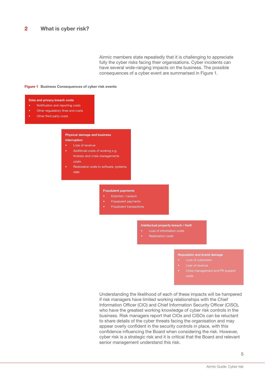Airmic members state repeatedly that it is challenging to appreciate fully the cyber risks facing their organisations. Cyber incidents can have several wide-ranging impacts on the business. The possible consequences of a cyber event are summarised in Figure 1.

#### Figure 1 Business Consequences of cyber risk events

#### Data and privacy breach costs

- Notification and reporting costs
- Other regualatory fines and costs
- Other third party costs

#### Physical damage and business interruption

- **Loss of revenue** 
	- Additinoal costs of working e.g. forensic and crisis managements costs
- Restoration costs to software, systems, data

#### Fraudulent payments

- Extortion / ransom
- Fraudulent payments
- Fraudulent transactions

#### Intellectual property breach / theft

- Loss of information costs
- Restoration costs

#### Reputation and brand damage

- 
- 
- Crisis management and PR support costs

Understanding the likelihood of each of these impacts will be hampered if risk managers have limited working relationships with the Chief Information Officer (CIO) and Chief Information Security Officer (CISO), who have the greatest working knowledge of cyber risk controls in the business. Risk managers report that CIOs and CISOs can be reluctant to share details of the cyber threats facing the organisation and may appear overly confident in the security controls in place, with this confidence influencing the Board when considering the risk. However, cyber risk is a strategic risk and it is critical that the Board and relevant senior management understand this risk.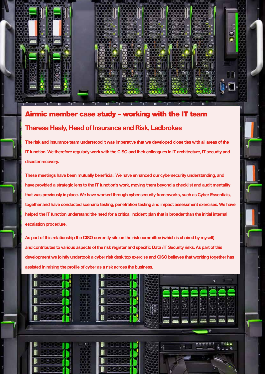

# Airmic member case study – working with the IT team Theresa Healy, Head of Insurance and Risk, Ladbrokes

The risk and insurance team understood it was imperative that we developed close ties with all areas of the IT function. We therefore regularly work with the CISO and their colleagues in IT architecture, IT security and disaster recovery.

These meetings have been mutually beneficial. We have enhanced our cybersecurity understanding, and have provided a strategic lens to the IT function's work, moving them beyond a checklist and audit mentality that was previously in place. We have worked through cyber security frameworks, such as Cyber Essentials, together and have conducted scenario testing, penetration testing and impact assessment exercises. We have helped the IT function understand the need for a critical incident plan that is broader than the initial internal escalation procedure.

As part of this relationship the CISO currently sits on the risk committee (which is chaired by myself) and contributes to various aspects of the risk register and specific Data /IT Security risks. As part of this development we jointly undertook a cyber risk desk top exercise and CISO believes that working together has assisted in raising the profile of cyber as a risk across the business.

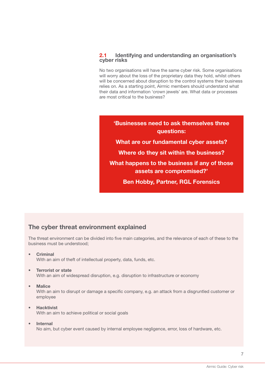# 2.1 Identifying and understanding an organisation's cyber risks

No two organisations will have the same cyber risk. Some organisations will worry about the loss of the proprietary data they hold, whilst others will be concerned about disruption to the control systems their business relies on. As a starting point, Airmic members should understand what their data and information 'crown jewels' are. What data or processes are most critical to the business?

'Businesses need to ask themselves three questions: What are our fundamental cyber assets? Where do they sit within the business? What happens to the business if any of those assets are compromised?' Ben Hobby, Partner, RGL Forensics

# The cyber threat environment explained

The threat environment can be divided into five main categories, and the relevance of each of these to the business must be understood;

**Criminal** 

With an aim of theft of intellectual property, data, funds, etc.

- **Terrorist or state** With an aim of widespread disruption, e.g. disruption to infrastructure or economy
- **Malice**

With an aim to disrupt or damage a specific company, e.g. an attack from a disgruntled customer or employee

#### • Hacktivist With an aim to achieve political or social goals

# • Internal

No aim, but cyber event caused by internal employee negligence, error, loss of hardware, etc.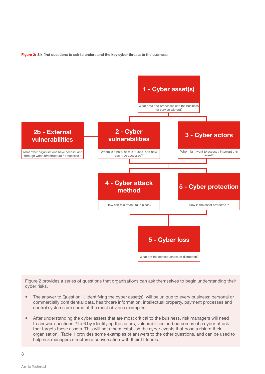Figure 2: Six first questions to ask to understand the key cyber threats to the business



Figure 2 provides a series of questions that organisations can ask themselves to begin understanding their cyber risks.

- The answer to Question 1, identifying the cyber asset(s), will be unique to every business: personal or commercially confidential data, healthcare information, intellectual property, payment processes and control systems are some of the most obvious examples.
- After understanding the cyber assets that are most critical to the business, risk managers will need to answer questions 2 to 6 by identifying the actors, vulnerabilities and outcomes of a cyber-attack that targets these assets. This will help them establish the cyber events that pose a risk to their organisation. Table 1 provides some examples of answers to the other questions, and can be used to help risk managers structure a conversation with their IT teams.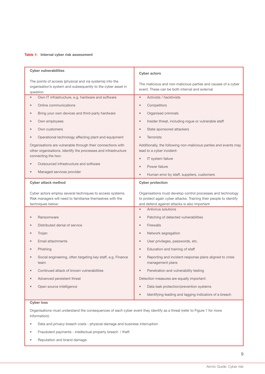#### Table 1: Internal cyber risk assessment

| <b>Cyber vulnerabilities</b>                                                                                                         | <b>Cyber actors</b>                                                                                                              |
|--------------------------------------------------------------------------------------------------------------------------------------|----------------------------------------------------------------------------------------------------------------------------------|
| The points of access (physical and via systems) into the<br>organisation's system and subsequently to the cyber asset in<br>question | The malicious and non-malicious parties and causes of a cyber<br>event. These can be both internal and external                  |
| Own IT infrastructure, e.g. hardware and software<br>$\bullet$                                                                       | Activists / hacktivists<br>$\bullet$                                                                                             |
| Online communications                                                                                                                | Competitors<br>$\bullet$                                                                                                         |
| Bring your own devices and third-party hardware                                                                                      | Organised criminals<br>$\bullet$                                                                                                 |
| Own employees                                                                                                                        | Insider threat, including rogue or vulnerable staff<br>$\bullet$                                                                 |
| Own customers                                                                                                                        | State sponsored attackers<br>$\qquad \qquad \bullet$                                                                             |
| Operational technology affecting plant and equipment                                                                                 | <b>Terrorists</b>                                                                                                                |
| Organisations are vulnerable through their connections with<br>other organisations. Identify the processes and infrastructure        | Additionally, the following non-malicious parties and events may<br>lead to a cyber incident:                                    |
| connecting the two:                                                                                                                  | IT system failure<br>$\bullet$                                                                                                   |
| Outsourced infrastructure and software                                                                                               | Power failure<br>$\bullet$                                                                                                       |
| Managed services provider                                                                                                            | Human error by staff, suppliers, customers<br>$\bullet$                                                                          |
| <b>Cyber attack method</b>                                                                                                           | <b>Cyber protection</b>                                                                                                          |
|                                                                                                                                      |                                                                                                                                  |
| Cyber actors employ several techniques to access systems.<br>Risk managers will need to familiarise themselves with the              | Organisations must develop control processes and technology<br>to protect again cyber attacks. Training their people to identify |
| techniques below:                                                                                                                    | and defend against attacks is also important<br>Antivirus solutions<br>$\bullet$                                                 |
| Ransomware                                                                                                                           | Patching of detected vulnerabilities<br>$\bullet$                                                                                |
| Distributed denial of service                                                                                                        | Firewalls<br>$\bullet$                                                                                                           |
| Trojan                                                                                                                               | Network segregation<br>$\bullet$                                                                                                 |
| Email attachments                                                                                                                    | User privileges, passwords, etc.<br>$\bullet$                                                                                    |
| Phishing                                                                                                                             | Education and training of staff<br>$\bullet$                                                                                     |
| Social engineering, often targeting key staff, e.g. Finance<br>team                                                                  | Reporting and incident response plans aligned to crisis<br>$\bullet$<br>management plans                                         |
| Continued attack of known vulnerabilities                                                                                            | Penetration and vulnerability testing<br>$\qquad \qquad \bullet$                                                                 |
| Advanced persistent threat                                                                                                           | Detection measures are equally important:                                                                                        |
| Open source intelligence                                                                                                             | Data leak protection/prevention systems<br>$\qquad \qquad \bullet$                                                               |

#### Cyber loss

Organisations must understand the consequences of each cyber event they identify as a threat (refer to Figure 1 for more information):

- Data and privacy breach costs physical damage and business interruption
- Fraudulent payments intellectual property breach / theft
- Reputation and brand damage.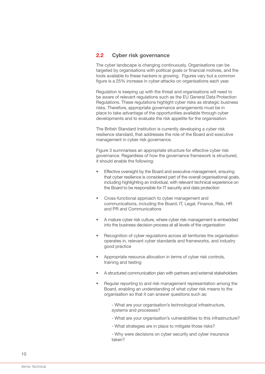## 2.2 Cyber risk governance

The cyber landscape is changing continuously. Organisations can be targeted by organisations with political goals or financial motives, and the tools available to these hackers is growing. Figures vary but a common figure is a 25% increase in cyber-attacks on organisations each year.

Regulation is keeping up with the threat and organisations will need to be aware of relevant regulations such as the EU General Data Protection Regulations. These regulations highlight cyber risks as strategic business risks. Therefore, appropriate governance arrangements must be in place to take advantage of the opportunities available through cyber developments and to evaluate the risk appetite for the organisation.

The British Standard Institution is currently developing a cyber risk resilience standard, that addresses the role of the Board and executive management in cyber risk governance.

Figure 3 summarises an appropriate structure for effective cyber risk governance. Regardless of how the governance framework is structured, it should enable the following:

- Effective oversight by the Board and executive management, ensuring that cyber resilience is considered part of the overall organisational goals, including highlighting an individual, with relevant technical experience on the Board to be responsible for IT security and data protection
- Cross-functional approach to cyber management and communications, including the Board, IT, Legal, Finance, Risk, HR and PR and Communications
- A mature cyber risk culture, where cyber risk management is embedded into the business decision process at all levels of the organisation
- Recognition of cyber regulations across all territories the organisation operates in, relevant cyber standards and frameworks, and industry good practice
- Appropriate resource allocation in terms of cyber risk controls, training and testing
- A structured communication plan with partners and external stakeholders
- Regular reporting to and risk management representation among the Board, enabling an understanding of what cyber risk means to the organisation so that it can answer questions such as:
	- What are your organisation's technological infrastructure, systems and processes?
	- What are your organisation's vulnerabilities to this infrastructure?
	- What strategies are in place to mitigate those risks?

- Why were decisions on cyber security and cyber insurance taken?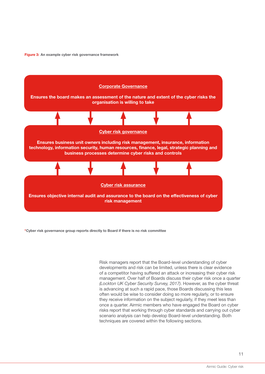Figure 3: An example cyber risk governance framework



\*Cyber risk governance group reports directly to Board if there is no risk committee

Risk managers report that the Board-level understanding of cyber developments and risk can be limited, unless there is clear evidence of a competitor having suffered an attack or increasing their cyber risk management. Over half of Boards discuss their cyber risk once a quarter *(Lockton UK Cyber Security Survey, 2017)*. However, as the cyber threat is advancing at such a rapid pace, those Boards discussing this less often would be wise to consider doing so more regularly, or to ensure they receive information on the subject regularly, if they meet less than once a quarter. Airmic members who have engaged the Board on cyber risks report that working through cyber standards and carrying out cyber scenario analysis can help develop Board-level understanding. Both techniques are covered within the following sections.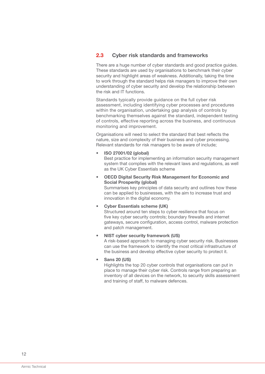# 2.3 Cyber risk standards and frameworks

There are a huge number of cyber standards and good practice guides. These standards are used by organisations to benchmark their cyber security and highlight areas of weakness. Additionally, taking the time to work through the standard helps risk managers to improve their own understanding of cyber security and develop the relationship between the risk and IT functions.

Standards typically provide guidance on the full cyber risk assessment, including identifying cyber processes and procedures within the organisation, undertaking gap analysis of controls by benchmarking themselves against the standard, independent testing of controls, effective reporting across the business, and continuous monitoring and improvement.

Organisations will need to select the standard that best reflects the nature, size and complexity of their business and cyber processing. Relevant standards for risk managers to be aware of include;

• ISO 27001/02 (global)

Best practice for implementing an information security management system that complies with the relevant laws and regulations, as well as the UK Cyber Essentials scheme

• OECD Digital Security Risk Management for Economic and Social Prosperity (global)

Summarises key principles of data security and outlines how these can be applied to businesses, with the aim to increase trust and innovation in the digital economy.

### • Cyber Essentials scheme (UK)

Structured around ten steps to cyber resilience that focus on five key cyber security controls; boundary firewalls and internet gateways, secure configuration, access control, malware protection and patch management.

#### • NIST cyber security framework (US)

A risk-based approach to managing cyber security risk. Businesses can use the framework to identify the most critical infrastructure of the business and develop effective cyber security to protect it.

• Sans 20 (US)

Highlights the top 20 cyber controls that organisations can put in place to manage their cyber risk. Controls range from preparing an inventory of all devices on the network, to security skills assessment and training of staff, to malware defences.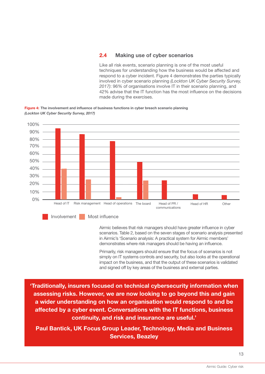## 2.4 Making use of cyber scenarios

Like all risk events, scenario planning is one of the most useful techniques for understanding how the business would be affected and respond to a cyber incident. Figure 4 demonstrates the parties typically involved in cyber scenario planning *(Lockton UK Cyber Security Survey, 2017)*: 96% of organisations involve IT in their scenario planning, and 42% advise that the IT function has the most influence on the decisions made during the exercises.





Airmic believes that risk managers should have greater influence in cyber scenarios. Table 2, based on the seven stages of scenario analysis presented in Airmic's 'Scenario analysis: A practical system for Airmic members' demonstrates where risk managers should be having an influence.

Primarily, risk managers should ensure that the focus of scenarios is not simply on IT systems controls and security, but also looks at the operational impact on the business, and that the output of these scenarios is validated and signed off by key areas of the business and external parties.

'Traditionally, insurers focused on technical cybersecurity information when assessing risks. However, we are now looking to go beyond this and gain a wider understanding on how an organisation would respond to and be affected by a cyber event. Conversations with the IT functions, business continuity, and risk and insurance are useful.'

Paul Bantick, UK Focus Group Leader, Technology, Media and Business Services, Beazley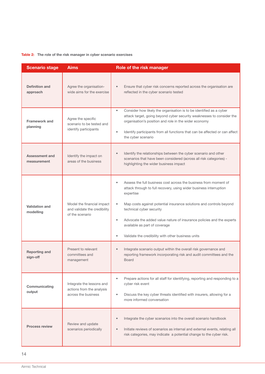#### Table 2: The role of the risk manager in cyber scenario exercises

| <b>Scenario stage</b>              | <b>Aims</b>                                                                   | Role of the risk manager                                                                                                                                                                                                                                                                                                                                                                                                                                                   |
|------------------------------------|-------------------------------------------------------------------------------|----------------------------------------------------------------------------------------------------------------------------------------------------------------------------------------------------------------------------------------------------------------------------------------------------------------------------------------------------------------------------------------------------------------------------------------------------------------------------|
| <b>Definition and</b><br>approach  | Agree the organisation-<br>wide aims for the exercise                         | Ensure that cyber risk concerns reported across the organisation are<br>$\bullet$<br>reflected in the cyber scenario tested                                                                                                                                                                                                                                                                                                                                                |
| <b>Framework and</b><br>planning   | Agree the specific<br>scenario to be tested and<br>identify participants      | Consider how likely the organisation is to be identified as a cyber<br>$\bullet$<br>attack target, going beyond cyber security weaknesses to consider the<br>organisation's position and role in the wider economy<br>Identify participants from all functions that can be affected or can affect<br>$\bullet$<br>the cyber scenario                                                                                                                                       |
| Assessment and<br>measurement      | Identify the impact on<br>areas of the business                               | Identify the relationships between the cyber scenario and other<br>$\bullet$<br>scenarios that have been considered (across all risk categories) -<br>highlighting the wider business impact                                                                                                                                                                                                                                                                               |
| <b>Validation and</b><br>modelling | Model the financial impact<br>and validate the credibility<br>of the scenario | Assess the full business cost across the business from moment of<br>$\bullet$<br>attack through to full recovery, using wider business interruption<br>expertise<br>Map costs against potential insurance solutions and controls beyond<br>$\bullet$<br>technical cyber security<br>Advocate the added value nature of insurance policies and the experts<br>$\bullet$<br>available as part of coverage<br>Validate the credibility with other business units<br>$\bullet$ |
| <b>Reporting and</b><br>sign-off   | Present to relevant<br>committees and<br>management                           | Integrate scenario output within the overall risk governance and<br>$\bullet$<br>reporting framework incorporating risk and audit committees and the<br><b>Board</b>                                                                                                                                                                                                                                                                                                       |
| Communicating<br>output            | Integrate the lessons and<br>actions from the analysis<br>across the business | Prepare actions for all staff for identifying, reporting and responding to a<br>$\bullet$<br>cyber risk event<br>Discuss the key cyber threats identified with insurers, allowing for a<br>$\bullet$<br>more informed conversation                                                                                                                                                                                                                                         |
| <b>Process review</b>              | Review and update<br>scenarios periodically                                   | Integrate the cyber scenarios into the overall scenario handbook<br>$\bullet$<br>Initiate reviews of scenarios as internal and external events, relating all<br>$\bullet$<br>risk categories, may indicate a potential change to the cyber risk.                                                                                                                                                                                                                           |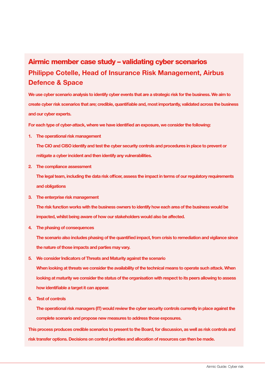# Airmic member case study – validating cyber scenarios Philippe Cotelle, Head of Insurance Risk Management, Airbus Defence & Space

We use cyber scenario analysis to identify cyber events that are a strategic risk for the business. We aim to create cyber risk scenarios that are; credible, quantifiable and, most importantly, validated across the business and our cyber experts.

For each type of cyber-attack, where we have identified an exposure, we consider the following:

1. The operational risk management

The CIO and CISO identify and test the cyber security controls and procedures in place to prevent or mitigate a cyber incident and then identify any vulnerabilities.

2. The compliance assessment

The legal team, including the data risk officer, assess the impact in terms of our regulatory requirements and obligations

- 3. The enterprise risk management The risk function works with the business owners to identify how each area of the business would be impacted, whilst being aware of how our stakeholders would also be affected.
- 4. The phasing of consequences

The scenario also includes phasing of the quantified impact, from crisis to remediation and vigilance since the nature of those impacts and parties may vary.

- 5. We consider Indicators of Threats and Maturity against the scenario When looking at threats we consider the availability of the technical means to operate such attack. When looking at maturity we consider the status of the organisation with respect to its peers allowing to assess how identifiable a target it can appear.
- 6. Test of controls

The operational risk managers (IT) would review the cyber security controls currently in place against the complete scenario and propose new measures to address those exposures.

This process produces credible scenarios to present to the Board, for discussion, as well as risk controls and risk transfer options. Decisions on control priorities and allocation of resources can then be made.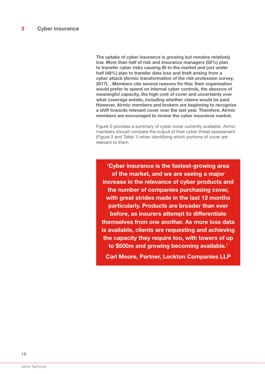The uptake of cyber insurance is growing but remains relatively low. More than half of risk and insurance managers (52%) plan to transfer cyber risks causing BI to the market and just under half (48%) plan to transfer data loss and theft arising from a cyber attack (Airmic transformation of the risk profession survey, 2017). . Members cite several reasons for this: their organisation would prefer to spend on internal cyber controls, the absence of meaningful capacity, the high cost of cover and uncertainty over what coverage entails, including whether claims would be paid. However, Airmic members and brokers are beginning to recognise a shift towards relevant cover over the last year. Therefore, Airmic members are encouraged to review the cyber insurance market.

Figure 5 provides a summary of cyber cover currently available. Airmic members should compare the output of their cyber threat assessment (Figure 2 and Table 1) when identifying which portions of cover are relevant to them.

'Cyber insurance is the fastest-growing area of the market, and we are seeing a major increase in the relevance of cyber products and the number of companies purchasing cover, with great strides made in the last 12 months particularly. Products are broader than ever before, as insurers attempt to differentiate themselves from one another. As more loss data is available, clients are requesting and achieving the capacity they require too, with towers of up to \$500m and growing becoming available.' Carl Moore, Partner, Lockton Companies LLP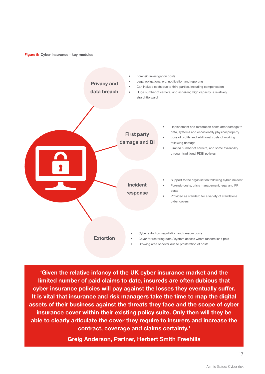Figure 5: Cyber insurance - key modules



'Given the relative infancy of the UK cyber insurance market and the limited number of paid claims to date, insureds are often dubious that cyber insurance policies will pay against the losses they eventually suffer. It is vital that insurance and risk managers take the time to map the digital assets of their business against the threats they face and the scope of cyber insurance cover within their existing policy suite. Only then will they be able to clearly articulate the cover they require to insurers and increase the contract, coverage and claims certainty.'

Greig Anderson, Partner, Herbert Smith Freehills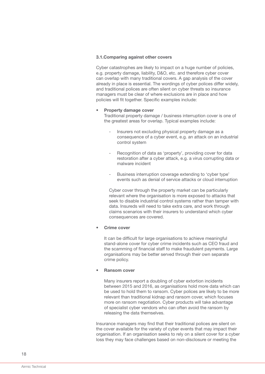#### 3.1.Comparing against other covers

Cyber catastrophes are likely to impact on a huge number of policies, e.g. property damage, liability, D&O, etc. and therefore cyber cover can overlap with many traditional covers. A gap analysis of the cover already in place is essential. The wordings of cyber polices differ widely, and traditional polices are often silent on cyber threats so insurance managers must be clear of where exclusions are in place and how policies will fit together. Specific examples include:

#### • Property damage cover

Traditional property damage / business interruption cover is one of the greatest areas for overlap. Typical examples include:

- Insurers not excluding physical property damage as a consequence of a cyber event, e.g. an attack on an industrial control system
- Recognition of data as 'property', providing cover for data restoration after a cyber attack, e.g. a virus corrupting data or malware incident
- Business interruption coverage extending to 'cyber type' events such as denial of service attacks or cloud interruption

Cyber cover through the property market can be particularly relevant where the organisation is more exposed to attacks that seek to disable industrial control systems rather than tamper with data. Insureds will need to take extra care, and work through claims scenarios with their insurers to understand which cyber consequences are covered.

#### Crime cover

It can be difficult for large organisations to achieve meaningful stand-alone cover for cyber crime incidents such as CEO fraud and the scamming of financial staff to make fraudulent payments. Large organisations may be better served through their own separate crime policy.

#### • Ransom cover

Many insurers report a doubling of cyber extortion incidents between 2015 and 2016, as organisations hold more data which can be used to hold them to ransom. Cyber polices are likely to be more relevant than traditional kidnap and ransom cover, which focuses more on ransom negotiation. Cyber products will take advantage of specialist cyber vendors who can often avoid the ransom by releasing the data themselves.

Insurance managers may find that their traditional polices are silent on the cover available for the variety of cyber events that may impact their organisation. If an organisation seeks to rely on a silent cover for a cyber loss they may face challenges based on non-disclosure or meeting the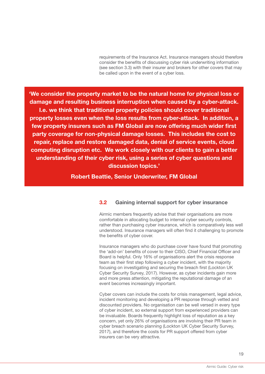requirements of the Insurance Act. Insurance managers should therefore consider the benefits of discussing cyber risk underwriting information (see section 3.3) with their insurer and brokers for other covers that may be called upon in the event of a cyber loss.

'We consider the property market to be the natural home for physical loss or damage and resulting business interruption when caused by a cyber-attack. I.e. we think that traditional property policies should cover traditional property losses even when the loss results from cyber-attack. In addition, a few property insurers such as FM Global are now offering much wider first party coverage for non-physical damage losses. This includes the cost to repair, replace and restore damaged data, denial of service events, cloud computing disruption etc. We work closely with our clients to gain a better understanding of their cyber risk, using a series of cyber questions and discussion topics.'

Robert Beattie, Senior Underwriter, FM Global

## 3.2 Gaining internal support for cyber insurance

Airmic members frequently advise that their organisations are more comfortable in allocating budget to internal cyber security controls, rather than purchasing cyber insurance, which is comparatively less well understood. Insurance managers will often find it challenging to promote the benefits of cyber cover.

Insurance managers who do purchase cover have found that promoting the 'add-on' benefits of cover to their CISO, Chief Financial Officer and Board is helpful. Only 16% of organisations alert the crisis response team as their first step following a cyber incident, with the majority focusing on investigating and securing the breach first (Lockton UK Cyber Security Survey, 2017). However, as cyber incidents gain more and more press attention, mitigating the reputational damage of an event becomes increasingly important.

Cyber covers can include the costs for crisis management, legal advice, incident monitoring and developing a PR response through vetted and discounted providers. No organisation can be well versed in every type of cyber incident, so external support from experienced providers can be invaluable. Boards frequently highlight loss of reputation as a key concern, yet only 26% of organisations are involving their PR team in cyber breach scenario planning (Lockton UK Cyber Security Survey, 2017), and therefore the costs for PR support offered from cyber insurers can be very attractive.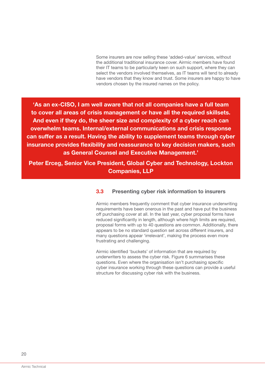Some insurers are now selling these 'added-value' services, without the additional traditional insurance cover. Airmic members have found their IT teams to be particularly keen on such support, where they can select the vendors involved themselves, as IT teams will tend to already have vendors that they know and trust. Some insurers are happy to have vendors chosen by the insured names on the policy.

'As an ex-CISO, I am well aware that not all companies have a full team to cover all areas of crisis management or have all the required skillsets. And even if they do, the sheer size and complexity of a cyber reach can overwhelm teams. Internal/external communications and crisis response can suffer as a result. Having the ability to supplement teams through cyber insurance provides flexibility and reassurance to key decision makers, such as General Counsel and Executive Management.'

Peter Erceg, Senior Vice President, Global Cyber and Technology, Lockton Companies, LLP

#### 3.3 Presenting cyber risk information to insurers

Airmic members frequently comment that cyber insurance underwriting requirements have been onerous in the past and have put the business off purchasing cover at all. In the last year, cyber proposal forms have reduced significantly in length, although where high limits are required, proposal forms with up to 40 questions are common. Additionally, there appears to be no standard question set across different insurers, and many questions appear 'irrelevant', making the process even more frustrating and challenging.

Airmic identified 'buckets' of information that are required by underwriters to assess the cyber risk. Figure 6 summarises these questions. Even where the organisation isn't purchasing specific cyber insurance working through these questions can provide a useful structure for discussing cyber risk with the business.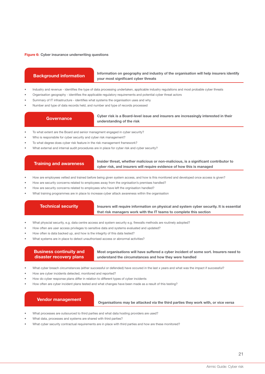#### Figure 6: Cyber insurance underwriting questions

#### Background information

#### Information on geography and industry of the organisation will help insurers identify your most significant cyber threats

- Industry and revenue identifies the type of data processing undertaken, applicable industry regulations and most probable cyber threats
- Organisation geography identifies the applicable regulatory requirements and potential cyber threat actors
- Summary of IT infrastructure identifies what systems the organisation uses and why
- Number and type of data records held, and number and type of records processed

#### **Governance**

#### Cyber risk is a Board-level issue and insurers are increasingly interested in their understanding of the risk

- To what extent are the Board and senior managment engaged in cyber security?
- Who is responsbile for cyber security and cyber risk management?
- To what degree does cyber risk feature in the risk management framework?
- What external and internal audit procedures are in place for cyber risk and cyber security?

#### Training and awareness

Insider threat, whether malicious or non-malicious, is a significant contributor to cyber risk, and insurers will require evidence of how this is managed

- How are employees vetted and trained before being given system access, and how is this monitored and developed once access is given?
- How are security concerns related to employees away from the orgnisation's premises handled?
- How are security concerns related to employees who have left the orgnisation handled?
- What training programmes are in place to increase cyber attack awareness within the organisation

#### Technical security

Insurers will require information on physical and system cyber security. It is essential that risk managers work with the IT teams to complete this section

- What physcial security, e.g. data centre access and system security e.g. firewalls methods are routinely adopted?
- How often are user access privileges to sensitive data and systems evaluated and updated?
- How often is data backed up, and how is the integrity of this data tested?
- What systems are in place to detect unauthorised access or abnormal activities?

| <b>Business continuity and</b> | Most organisations will have suffered a cyber incident of some sort. Insurers need to |
|--------------------------------|---------------------------------------------------------------------------------------|
| disaster recovery plans        | understand the circumstances and how they were handled                                |

- What cyber breach circumstances (either successful or defended) have occured in the last x years and what was the impact if successful?
- How are cyber incidents detected, monitored and reported?
- How do cyber response plans differ in relation to different types of cyber incidents
- How often are cyber incident plans tested and what changes have been made as a result of this testing?

#### Vendor management

Organisations may be attacked via the third parties they work with, or vice versa

- What processes are outsourced to third parties and what data hosting providers are used?
- What data, processes and systems are shared with third parties?
- What cyber security contractual requirements are in place with third parties and how are these monitored?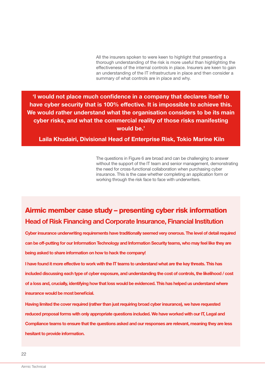All the insurers spoken to were keen to highlight that presenting a thorough understanding of the risk is more useful than highlighting the effectiveness of the internal controls in place. Insurers are keen to gain an understanding of the IT infrastructure in place and then consider a summary of what controls are in place and why.

'I would not place much confidence in a company that declares itself to have cyber security that is 100% effective. It is impossible to achieve this. We would rather understand what the organisation considers to be its main cyber risks, and what the commercial reality of those risks manifesting would be.'

## Laila Khudairi, Divisional Head of Enterprise Risk, Tokio Marine Kiln

The questions in Figure 6 are broad and can be challenging to answer without the support of the IT team and senior management, demonstrating the need for cross-functional collaboration when purchasing cyber insurance. This is the case whether completing an application form or working through the risk face to face with underwriters.

# Airmic member case study – presenting cyber risk information Head of Risk Financing and Corporate Insurance, Financial Institution

Cyber insurance underwriting requirements have traditionally seemed very onerous. The level of detail required can be off-putting for our Information Technology and Information Security teams, who may feel like they are being asked to share information on how to hack the company!

I have found it more effective to work with the IT teams to understand what are the key threats. This has included discussing each type of cyber exposure, and understanding the cost of controls, the likelihood / cost of a loss and, crucially, identifying how that loss would be evidenced. This has helped us understand where insurance would be most beneficial.

Having limited the cover required (rather than just requiring broad cyber insurance), we have requested reduced proposal forms with only appropriate questions included. We have worked with our IT, Legal and Compliance teams to ensure that the questions asked and our responses are relevant, meaning they are less hesitant to provide information.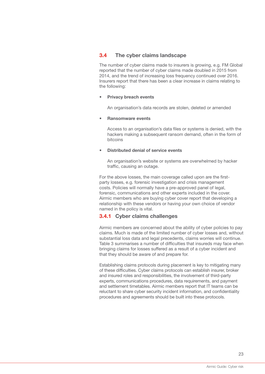# 3.4 The cyber claims landscape

The number of cyber claims made to insurers is growing, e.g. FM Global reported that the number of cyber claims made doubled in 2015 from 2014, and the trend of increasing loss frequency continued over 2016. Insurers report that there has been a clear increase in claims relating to the following:

#### • Privacy breach events

An organisation's data records are stolen, deleted or amended

#### • Ransomware events

Access to an organisation's data files or systems is denied, with the hackers making a subsequent ransom demand, often in the form of bitcoins

#### • Distributed denial of service events

An organisation's website or systems are overwhelmed by hacker traffic, causing an outage.

For the above losses, the main coverage called upon are the firstparty losses, e.g. forensic investigation and crisis management costs. Policies will normally have a pre-approved panel of legal, forensic, communications and other experts included in the cover. Airmic members who are buying cyber cover report that developing a relationship with these vendors or having your own choice of vendor named in the policy is vital.

### 3.4.1 Cyber claims challenges

Airmic members are concerned about the ability of cyber policies to pay claims. Much is made of the limited number of cyber losses and, without substantial loss data and legal precedents, claims worries will continue. Table 3 summarises a number of difficulties that insureds may face when bringing claims for losses suffered as a result of a cyber incident and that they should be aware of and prepare for.

Establishing claims protocols during placement is key to mitigating many of these difficulties. Cyber claims protocols can establish insurer, broker and insured roles and responsibilities, the involvement of third-party experts, communications procedures, data requirements, and payment and settlement timetables. Airmic members report that IT teams can be reluctant to share cyber security incident information, and confidentiality procedures and agreements should be built into these protocols.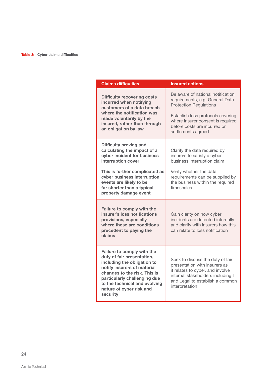| <b>Claims difficulties</b>                                                                                                                                                                                                                                      | <b>Insured actions</b>                                                                                                                                                                                                                |
|-----------------------------------------------------------------------------------------------------------------------------------------------------------------------------------------------------------------------------------------------------------------|---------------------------------------------------------------------------------------------------------------------------------------------------------------------------------------------------------------------------------------|
| <b>Difficulty recovering costs</b><br>incurred when notifying<br>customers of a data breach<br>where the notification was<br>made voluntarily by the<br>insured, rather than through<br>an obligation by law                                                    | Be aware of national notification<br>requirements, e.g. General Data<br><b>Protection Regulations</b><br>Establish loss protocols covering<br>where insurer consent is required<br>before costs are incurred or<br>settlements agreed |
| <b>Difficulty proving and</b><br>calculating the impact of a<br>cyber incident for business<br>interruption cover                                                                                                                                               | Clarify the data required by<br>insurers to satisfy a cyber<br>business interruption claim                                                                                                                                            |
| This is further complicated as<br>cyber business interruption<br>events are likely to be<br>far shorter than a typical<br>property damage event                                                                                                                 | Verify whether the data<br>requirements can be supplied by<br>the business within the required<br>timescales                                                                                                                          |
| Failure to comply with the<br>insurer's loss notifications<br>provisions, especially<br>where these are conditions<br>precedent to paying the<br>claims                                                                                                         | Gain clarity on how cyber<br>incidents are detected internally<br>and clarify with insurers how this<br>can relate to loss notification                                                                                               |
| Failure to comply with the<br>duty of fair presentation,<br>including the obligation to<br>notify insurers of material<br>changes to the risk. This is<br>particularly challenging due<br>to the technical and evolving<br>nature of cyber risk and<br>security | Seek to discuss the duty of fair<br>presentation with insurers as<br>it relates to cyber, and involve<br>internal stakeholders including IT<br>and Legal to establish a common<br>interpretation                                      |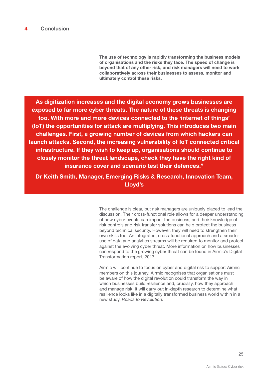The use of technology is rapidly transforming the business models of organisations and the risks they face. The speed of change is beyond that of any other risk, and risk managers will need to work collaboratively across their businesses to assess, monitor and ultimately control these risks.

As digitization increases and the digital economy grows businesses are exposed to far more cyber threats. The nature of these threats is changing too. With more and more devices connected to the 'internet of things' (IoT) the opportunities for attack are multiplying. This introduces two main challenges. First, a growing number of devices from which hackers can launch attacks. Second, the increasing vulnerability of IoT connected critical infrastructure. If they wish to keep up, organisations should continue to closely monitor the threat landscape, check they have the right kind of insurance cover and scenario test their defences."

Dr Keith Smith, Manager, Emerging Risks & Research, Innovation Team, Lloyd's

> The challenge is clear, but risk managers are uniquely placed to lead the discussion. Their cross-functional role allows for a deeper understanding of how cyber events can impact the business, and their knowledge of risk controls and risk transfer solutions can help protect the business beyond technical security. However, they will need to strengthen their own skills too. An integrated, cross-functional approach and a smarter use of data and analytics streams will be required to monitor and protect against the evolving cyber threat. More information on how businesses can respond to the growing cyber threat can be found in Airmic's Digital Transformation report, 2017.

Airmic will continue to focus on cyber and digital risk to support Airmic members on this journey. Airmic recognises that organisations must be aware of how the digital revolution could transform the way in which businesses build resilience and, crucially, how they approach and manage risk. It will carry out in-depth research to determine what resilience looks like in a digitally transformed business world within in a new study, *Roads to Revolution.*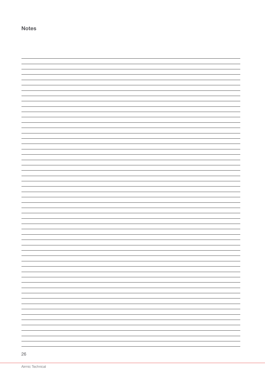Notes